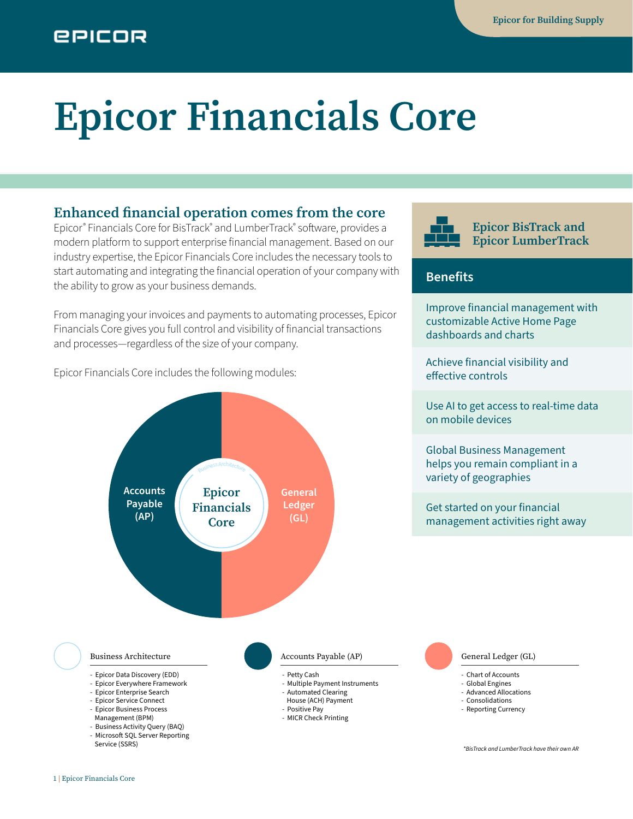# **Epicor Financials Core**

## **Enhanced financial operation comes from the core**

Epicor® Financials Core for BisTrack® and LumberTrack® software, provides a modern platform to support enterprise financial management. Based on our industry expertise, the Epicor Financials Core includes the necessary tools to start automating and integrating the financial operation of your company with the ability to grow as your business demands.

From managing your invoices and payments to automating processes, Epicor Financials Core gives you full control and visibility of financial transactions and processes—regardless of the size of your company.

Epicor Financials Core includes the following modules:







#### **Benefits**

Improve financial management with customizable Active Home Page dashboards and charts

Achieve financial visibility and effective controls

Use AI to get access to real-time data on mobile devices

Global Business Management helps you remain compliant in a variety of geographies

Get started on your financial management activities right away

#### Business Architecture

- Epicor Data Discovery (EDD)
- Epicor Everywhere Framework
- Epicor Enterprise Search
- 
- Epicor Business Process
- Management (BPM)
- Business Activity Query (BAQ) - Microsoft SQL Server Reporting
- Service (SSRS)
- Positive Pay
- MICR Check Printing

- Chart of Accounts - Global Engines
- Advanced Allocations
- Consolidations
- Reporting Currency

*\*BisTrack and LumberTrack have their own AR*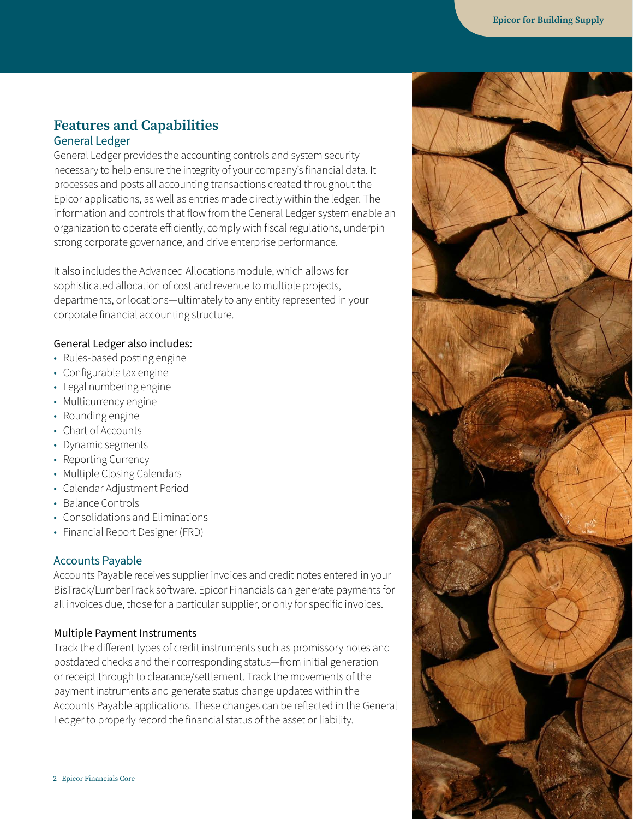### **Features and Capabilities** General Ledger

General Ledger provides the accounting controls and system security necessary to help ensure the integrity of your company's financial data. It processes and posts all accounting transactions created throughout the Epicor applications, as well as entries made directly within the ledger. The information and controls that flow from the General Ledger system enable an organization to operate efficiently, comply with fiscal regulations, underpin strong corporate governance, and drive enterprise performance.

It also includes the Advanced Allocations module, which allows for sophisticated allocation of cost and revenue to multiple projects, departments, or locations—ultimately to any entity represented in your corporate financial accounting structure.

#### General Ledger also includes:

- Rules-based posting engine
- Configurable tax engine
- Legal numbering engine
- Multicurrency engine
- Rounding engine
- Chart of Accounts
- Dynamic segments
- Reporting Currency
- Multiple Closing Calendars
- Calendar Adjustment Period
- Balance Controls
- Consolidations and Eliminations
- Financial Report Designer (FRD)

#### Accounts Payable

Accounts Payable receives supplier invoices and credit notes entered in your BisTrack/LumberTrack software. Epicor Financials can generate payments for all invoices due, those for a particular supplier, or only for specific invoices.

#### Multiple Payment Instruments

Track the different types of credit instruments such as promissory notes and postdated checks and their corresponding status—from initial generation or receipt through to clearance/settlement. Track the movements of the payment instruments and generate status change updates within the Accounts Payable applications. These changes can be reflected in the General Ledger to properly record the financial status of the asset or liability.

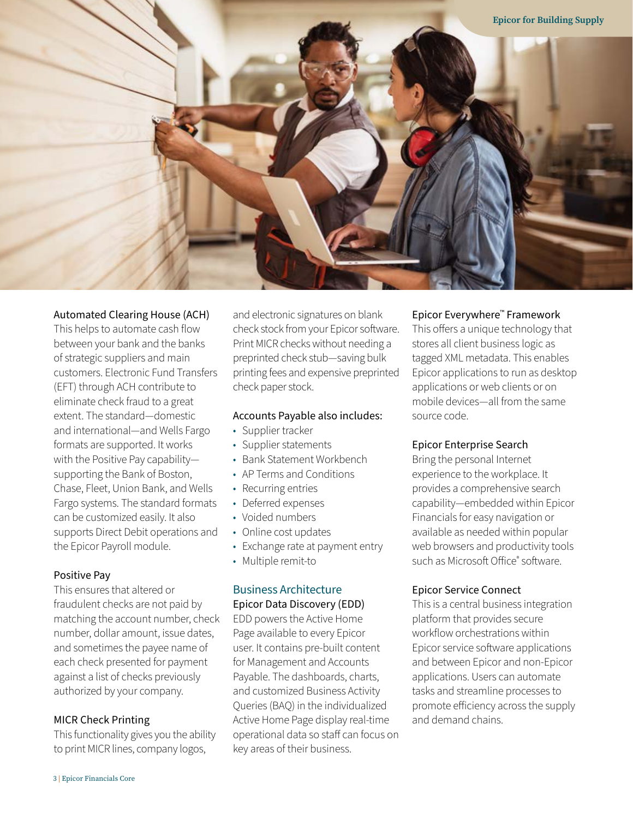

#### Automated Clearing House (ACH)

This helps to automate cash flow between your bank and the banks of strategic suppliers and main customers. Electronic Fund Transfers (EFT) through ACH contribute to eliminate check fraud to a great extent. The standard—domestic and international—and Wells Fargo formats are supported. It works with the Positive Pay capability supporting the Bank of Boston, Chase, Fleet, Union Bank, and Wells Fargo systems. The standard formats can be customized easily. It also supports Direct Debit operations and the Epicor Payroll module.

#### Positive Pay

This ensures that altered or fraudulent checks are not paid by matching the account number, check number, dollar amount, issue dates, and sometimes the payee name of each check presented for payment against a list of checks previously authorized by your company.

#### MICR Check Printing

This functionality gives you the ability to print MICR lines, company logos,

and electronic signatures on blank check stock from your Epicor software. Print MICR checks without needing a preprinted check stub—saving bulk printing fees and expensive preprinted check paper stock.

#### Accounts Payable also includes:

- Supplier tracker
- Supplier statements
- Bank Statement Workbench
- AP Terms and Conditions
- Recurring entries
- Deferred expenses
- Voided numbers
- Online cost updates
- Exchange rate at payment entry
- Multiple remit-to

#### Business Architecture Epicor Data Discovery (EDD)

EDD powers the Active Home Page available to every Epicor user. It contains pre-built content for Management and Accounts Payable. The dashboards, charts, and customized Business Activity Queries (BAQ) in the individualized Active Home Page display real-time operational data so staff can focus on key areas of their business.

#### Epicor Everywhere™ Framework

This offers a unique technology that stores all client business logic as tagged XML metadata. This enables Epicor applications to run as desktop applications or web clients or on mobile devices—all from the same source code.

#### Epicor Enterprise Search

Bring the personal Internet experience to the workplace. It provides a comprehensive search capability—embedded within Epicor Financials for easy navigation or available as needed within popular web browsers and productivity tools such as Microsoft Office® software.

#### Epicor Service Connect

This is a central business integration platform that provides secure workflow orchestrations within Epicor service software applications and between Epicor and non-Epicor applications. Users can automate tasks and streamline processes to promote efficiency across the supply and demand chains.